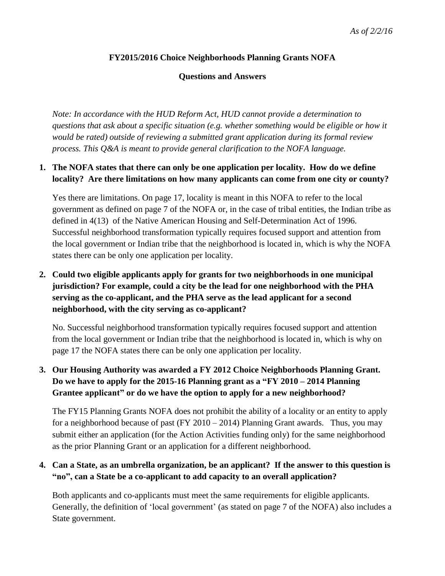#### **FY2015/2016 Choice Neighborhoods Planning Grants NOFA**

#### **Questions and Answers**

*Note: In accordance with the HUD Reform Act, HUD cannot provide a determination to questions that ask about a specific situation (e.g. whether something would be eligible or how it would be rated) outside of reviewing a submitted grant application during its formal review process. This Q&A is meant to provide general clarification to the NOFA language.*

#### **1. The NOFA states that there can only be one application per locality. How do we define locality? Are there limitations on how many applicants can come from one city or county?**

Yes there are limitations. On page 17, locality is meant in this NOFA to refer to the local government as defined on page 7 of the NOFA or, in the case of tribal entities, the Indian tribe as defined in 4(13) of the Native American Housing and Self-Determination Act of 1996. Successful neighborhood transformation typically requires focused support and attention from the local government or Indian tribe that the neighborhood is located in, which is why the NOFA states there can be only one application per locality.

## **2. Could two eligible applicants apply for grants for two neighborhoods in one municipal jurisdiction? For example, could a city be the lead for one neighborhood with the PHA serving as the co-applicant, and the PHA serve as the lead applicant for a second neighborhood, with the city serving as co-applicant?**

No. Successful neighborhood transformation typically requires focused support and attention from the local government or Indian tribe that the neighborhood is located in, which is why on page 17 the NOFA states there can be only one application per locality.

## **3. Our Housing Authority was awarded a FY 2012 Choice Neighborhoods Planning Grant. Do we have to apply for the 2015-16 Planning grant as a "FY 2010 – 2014 Planning Grantee applicant" or do we have the option to apply for a new neighborhood?**

The FY15 Planning Grants NOFA does not prohibit the ability of a locality or an entity to apply for a neighborhood because of past (FY 2010 – 2014) Planning Grant awards. Thus, you may submit either an application (for the Action Activities funding only) for the same neighborhood as the prior Planning Grant or an application for a different neighborhood.

### **4. Can a State, as an umbrella organization, be an applicant? If the answer to this question is "no", can a State be a co-applicant to add capacity to an overall application?**

Both applicants and co-applicants must meet the same requirements for eligible applicants. Generally, the definition of 'local government' (as stated on page 7 of the NOFA) also includes a State government.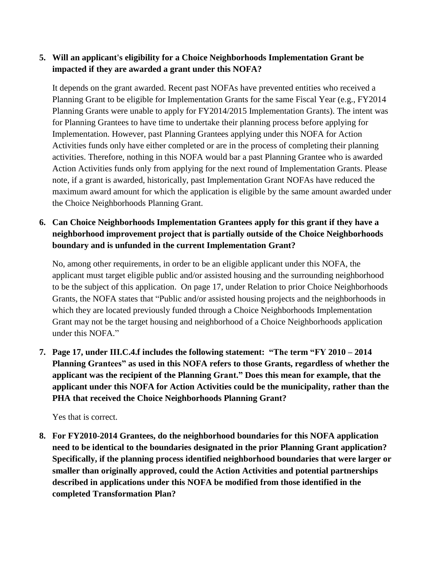#### **5. Will an applicant's eligibility for a Choice Neighborhoods Implementation Grant be impacted if they are awarded a grant under this NOFA?**

It depends on the grant awarded. Recent past NOFAs have prevented entities who received a Planning Grant to be eligible for Implementation Grants for the same Fiscal Year (e.g., FY2014 Planning Grants were unable to apply for FY2014/2015 Implementation Grants). The intent was for Planning Grantees to have time to undertake their planning process before applying for Implementation. However, past Planning Grantees applying under this NOFA for Action Activities funds only have either completed or are in the process of completing their planning activities. Therefore, nothing in this NOFA would bar a past Planning Grantee who is awarded Action Activities funds only from applying for the next round of Implementation Grants. Please note, if a grant is awarded, historically, past Implementation Grant NOFAs have reduced the maximum award amount for which the application is eligible by the same amount awarded under the Choice Neighborhoods Planning Grant.

## **6. Can Choice Neighborhoods Implementation Grantees apply for this grant if they have a neighborhood improvement project that is partially outside of the Choice Neighborhoods boundary and is unfunded in the current Implementation Grant?**

No, among other requirements, in order to be an eligible applicant under this NOFA, the applicant must target eligible public and/or assisted housing and the surrounding neighborhood to be the subject of this application. On page 17, under Relation to prior Choice Neighborhoods Grants, the NOFA states that "Public and/or assisted housing projects and the neighborhoods in which they are located previously funded through a Choice Neighborhoods Implementation Grant may not be the target housing and neighborhood of a Choice Neighborhoods application under this NOFA."

**7. Page 17, under III.C.4.f includes the following statement: "The term "FY 2010 – 2014 Planning Grantees" as used in this NOFA refers to those Grants, regardless of whether the applicant was the recipient of the Planning Grant." Does this mean for example, that the applicant under this NOFA for Action Activities could be the municipality, rather than the PHA that received the Choice Neighborhoods Planning Grant?**

Yes that is correct.

**8. For FY2010-2014 Grantees, do the neighborhood boundaries for this NOFA application need to be identical to the boundaries designated in the prior Planning Grant application? Specifically, if the planning process identified neighborhood boundaries that were larger or smaller than originally approved, could the Action Activities and potential partnerships described in applications under this NOFA be modified from those identified in the completed Transformation Plan?**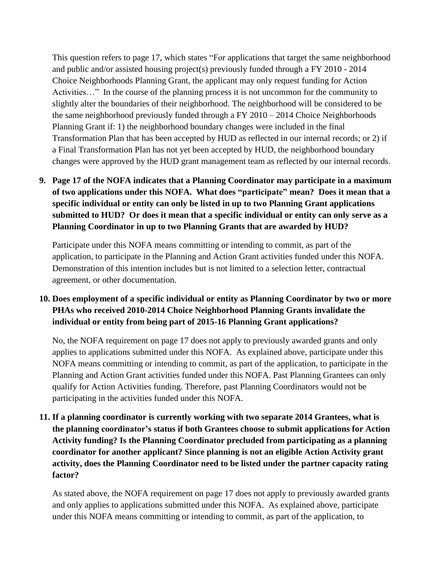This question refers to page 17, which states "For applications that target the same neighborhood and public and/or assisted housing project(s) previously funded through a FY 2010 - 2014 Choice Neighborhoods Planning Grant, the applicant may only request funding for Action Activities…" In the course of the planning process it is not uncommon for the community to slightly alter the boundaries of their neighborhood. The neighborhood will be considered to be the same neighborhood previously funded through a FY 2010 – 2014 Choice Neighborhoods Planning Grant if: 1) the neighborhood boundary changes were included in the final Transformation Plan that has been accepted by HUD as reflected in our internal records; or 2) if a Final Transformation Plan has not yet been accepted by HUD, the neighborhood boundary changes were approved by the HUD grant management team as reflected by our internal records.

**9. Page 17 of the NOFA indicates that a Planning Coordinator may participate in a maximum of two applications under this NOFA. What does "participate" mean? Does it mean that a specific individual or entity can only be listed in up to two Planning Grant applications submitted to HUD? Or does it mean that a specific individual or entity can only serve as a Planning Coordinator in up to two Planning Grants that are awarded by HUD?**

Participate under this NOFA means committing or intending to commit, as part of the application, to participate in the Planning and Action Grant activities funded under this NOFA. Demonstration of this intention includes but is not limited to a selection letter, contractual agreement, or other documentation.

## **10. Does employment of a specific individual or entity as Planning Coordinator by two or more PHAs who received 2010-2014 Choice Neighborhood Planning Grants invalidate the individual or entity from being part of 2015-16 Planning Grant applications?**

No, the NOFA requirement on page 17 does not apply to previously awarded grants and only applies to applications submitted under this NOFA. As explained above, participate under this NOFA means committing or intending to commit, as part of the application, to participate in the Planning and Action Grant activities funded under this NOFA. Past Planning Grantees can only qualify for Action Activities funding. Therefore, past Planning Coordinators would not be participating in the activities funded under this NOFA.

**11. If a planning coordinator is currently working with two separate 2014 Grantees, what is the planning coordinator's status if both Grantees choose to submit applications for Action Activity funding? Is the Planning Coordinator precluded from participating as a planning coordinator for another applicant? Since planning is not an eligible Action Activity grant activity, does the Planning Coordinator need to be listed under the partner capacity rating factor?**

As stated above, the NOFA requirement on page 17 does not apply to previously awarded grants and only applies to applications submitted under this NOFA. As explained above, participate under this NOFA means committing or intending to commit, as part of the application, to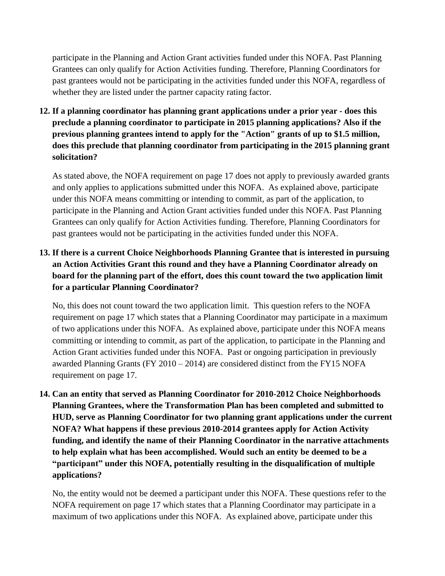participate in the Planning and Action Grant activities funded under this NOFA. Past Planning Grantees can only qualify for Action Activities funding. Therefore, Planning Coordinators for past grantees would not be participating in the activities funded under this NOFA, regardless of whether they are listed under the partner capacity rating factor.

**12. If a planning coordinator has planning grant applications under a prior year - does this preclude a planning coordinator to participate in 2015 planning applications? Also if the previous planning grantees intend to apply for the "Action" grants of up to \$1.5 million, does this preclude that planning coordinator from participating in the 2015 planning grant solicitation?**

As stated above, the NOFA requirement on page 17 does not apply to previously awarded grants and only applies to applications submitted under this NOFA. As explained above, participate under this NOFA means committing or intending to commit, as part of the application, to participate in the Planning and Action Grant activities funded under this NOFA. Past Planning Grantees can only qualify for Action Activities funding. Therefore, Planning Coordinators for past grantees would not be participating in the activities funded under this NOFA.

**13. If there is a current Choice Neighborhoods Planning Grantee that is interested in pursuing an Action Activities Grant this round and they have a Planning Coordinator already on board for the planning part of the effort, does this count toward the two application limit for a particular Planning Coordinator?**

No, this does not count toward the two application limit. This question refers to the NOFA requirement on page 17 which states that a Planning Coordinator may participate in a maximum of two applications under this NOFA. As explained above, participate under this NOFA means committing or intending to commit, as part of the application, to participate in the Planning and Action Grant activities funded under this NOFA. Past or ongoing participation in previously awarded Planning Grants (FY 2010 – 2014) are considered distinct from the FY15 NOFA requirement on page 17.

**14. Can an entity that served as Planning Coordinator for 2010-2012 Choice Neighborhoods Planning Grantees, where the Transformation Plan has been completed and submitted to HUD, serve as Planning Coordinator for two planning grant applications under the current NOFA? What happens if these previous 2010-2014 grantees apply for Action Activity funding, and identify the name of their Planning Coordinator in the narrative attachments to help explain what has been accomplished. Would such an entity be deemed to be a "participant" under this NOFA, potentially resulting in the disqualification of multiple applications?**

No, the entity would not be deemed a participant under this NOFA. These questions refer to the NOFA requirement on page 17 which states that a Planning Coordinator may participate in a maximum of two applications under this NOFA. As explained above, participate under this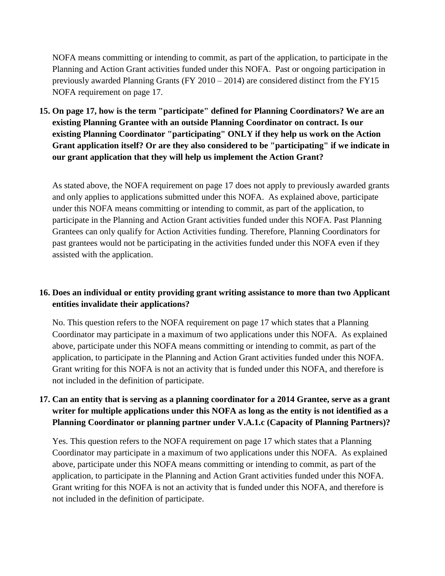NOFA means committing or intending to commit, as part of the application, to participate in the Planning and Action Grant activities funded under this NOFA. Past or ongoing participation in previously awarded Planning Grants (FY 2010 – 2014) are considered distinct from the FY15 NOFA requirement on page 17.

**15. On page 17, how is the term "participate" defined for Planning Coordinators? We are an existing Planning Grantee with an outside Planning Coordinator on contract. Is our existing Planning Coordinator "participating" ONLY if they help us work on the Action Grant application itself? Or are they also considered to be "participating" if we indicate in our grant application that they will help us implement the Action Grant?**

As stated above, the NOFA requirement on page 17 does not apply to previously awarded grants and only applies to applications submitted under this NOFA. As explained above, participate under this NOFA means committing or intending to commit, as part of the application, to participate in the Planning and Action Grant activities funded under this NOFA. Past Planning Grantees can only qualify for Action Activities funding. Therefore, Planning Coordinators for past grantees would not be participating in the activities funded under this NOFA even if they assisted with the application.

#### **16. Does an individual or entity providing grant writing assistance to more than two Applicant entities invalidate their applications?**

No. This question refers to the NOFA requirement on page 17 which states that a Planning Coordinator may participate in a maximum of two applications under this NOFA. As explained above, participate under this NOFA means committing or intending to commit, as part of the application, to participate in the Planning and Action Grant activities funded under this NOFA. Grant writing for this NOFA is not an activity that is funded under this NOFA, and therefore is not included in the definition of participate.

### 17. Can an entity that is serving as a planning coordinator for a 2014 Grantee, serve as a grant **writer for multiple applications under this NOFA as long as the entity is not identified as a Planning Coordinator or planning partner under V.A.1.c (Capacity of Planning Partners)?**

Yes. This question refers to the NOFA requirement on page 17 which states that a Planning Coordinator may participate in a maximum of two applications under this NOFA. As explained above, participate under this NOFA means committing or intending to commit, as part of the application, to participate in the Planning and Action Grant activities funded under this NOFA. Grant writing for this NOFA is not an activity that is funded under this NOFA, and therefore is not included in the definition of participate.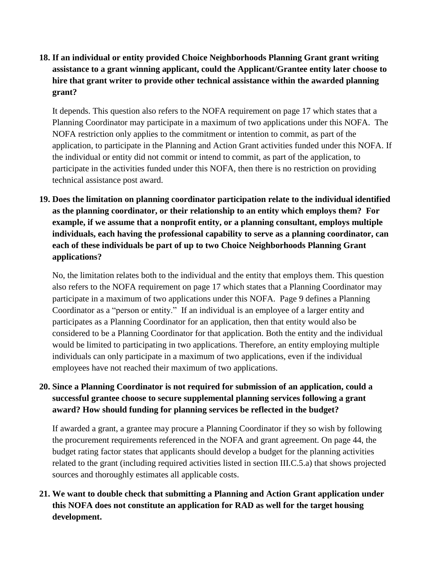## **18. If an individual or entity provided Choice Neighborhoods Planning Grant grant writing assistance to a grant winning applicant, could the Applicant/Grantee entity later choose to hire that grant writer to provide other technical assistance within the awarded planning grant?**

It depends. This question also refers to the NOFA requirement on page 17 which states that a Planning Coordinator may participate in a maximum of two applications under this NOFA. The NOFA restriction only applies to the commitment or intention to commit, as part of the application, to participate in the Planning and Action Grant activities funded under this NOFA. If the individual or entity did not commit or intend to commit, as part of the application, to participate in the activities funded under this NOFA, then there is no restriction on providing technical assistance post award.

**19. Does the limitation on planning coordinator participation relate to the individual identified as the planning coordinator, or their relationship to an entity which employs them? For example, if we assume that a nonprofit entity, or a planning consultant, employs multiple individuals, each having the professional capability to serve as a planning coordinator, can each of these individuals be part of up to two Choice Neighborhoods Planning Grant applications?**

No, the limitation relates both to the individual and the entity that employs them. This question also refers to the NOFA requirement on page 17 which states that a Planning Coordinator may participate in a maximum of two applications under this NOFA. Page 9 defines a Planning Coordinator as a "person or entity." If an individual is an employee of a larger entity and participates as a Planning Coordinator for an application, then that entity would also be considered to be a Planning Coordinator for that application. Both the entity and the individual would be limited to participating in two applications. Therefore, an entity employing multiple individuals can only participate in a maximum of two applications, even if the individual employees have not reached their maximum of two applications.

## **20. Since a Planning Coordinator is not required for submission of an application, could a successful grantee choose to secure supplemental planning services following a grant award? How should funding for planning services be reflected in the budget?**

If awarded a grant, a grantee may procure a Planning Coordinator if they so wish by following the procurement requirements referenced in the NOFA and grant agreement. On page 44, the budget rating factor states that applicants should develop a budget for the planning activities related to the grant (including required activities listed in section III.C.5.a) that shows projected sources and thoroughly estimates all applicable costs.

# **21. We want to double check that submitting a Planning and Action Grant application under this NOFA does not constitute an application for RAD as well for the target housing development.**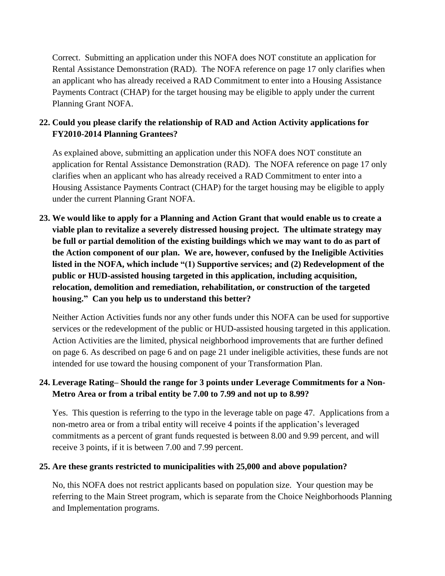Correct. Submitting an application under this NOFA does NOT constitute an application for Rental Assistance Demonstration (RAD). The NOFA reference on page 17 only clarifies when an applicant who has already received a RAD Commitment to enter into a Housing Assistance Payments Contract (CHAP) for the target housing may be eligible to apply under the current Planning Grant NOFA.

## **22. Could you please clarify the relationship of RAD and Action Activity applications for FY2010-2014 Planning Grantees?**

As explained above, submitting an application under this NOFA does NOT constitute an application for Rental Assistance Demonstration (RAD). The NOFA reference on page 17 only clarifies when an applicant who has already received a RAD Commitment to enter into a Housing Assistance Payments Contract (CHAP) for the target housing may be eligible to apply under the current Planning Grant NOFA.

**23. We would like to apply for a Planning and Action Grant that would enable us to create a viable plan to revitalize a severely distressed housing project. The ultimate strategy may be full or partial demolition of the existing buildings which we may want to do as part of the Action component of our plan. We are, however, confused by the Ineligible Activities listed in the NOFA, which include "(1) Supportive services; and (2) Redevelopment of the public or HUD-assisted housing targeted in this application, including acquisition, relocation, demolition and remediation, rehabilitation, or construction of the targeted housing." Can you help us to understand this better?**

Neither Action Activities funds nor any other funds under this NOFA can be used for supportive services or the redevelopment of the public or HUD-assisted housing targeted in this application. Action Activities are the limited, physical neighborhood improvements that are further defined on page 6. As described on page 6 and on page 21 under ineligible activities, these funds are not intended for use toward the housing component of your Transformation Plan.

### **24. Leverage Rating– Should the range for 3 points under Leverage Commitments for a Non-Metro Area or from a tribal entity be 7.00 to 7.99 and not up to 8.99?**

Yes. This question is referring to the typo in the leverage table on page 47. Applications from a non-metro area or from a tribal entity will receive 4 points if the application's leveraged commitments as a percent of grant funds requested is between 8.00 and 9.99 percent, and will receive 3 points, if it is between 7.00 and 7.99 percent.

#### **25. Are these grants restricted to municipalities with 25,000 and above population?**

No, this NOFA does not restrict applicants based on population size. Your question may be referring to the Main Street program, which is separate from the Choice Neighborhoods Planning and Implementation programs.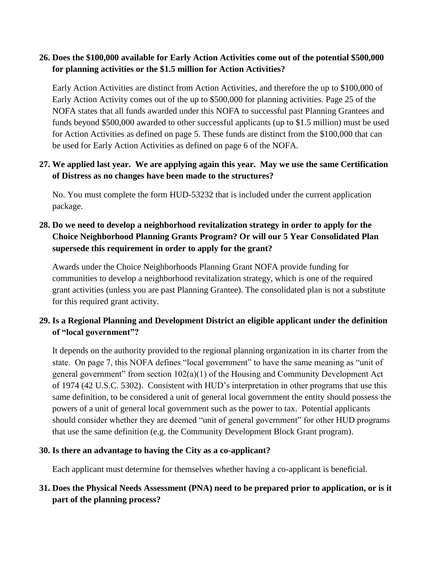#### **26. Does the \$100,000 available for Early Action Activities come out of the potential \$500,000 for planning activities or the \$1.5 million for Action Activities?**

Early Action Activities are distinct from Action Activities, and therefore the up to \$100,000 of Early Action Activity comes out of the up to \$500,000 for planning activities. Page 25 of the NOFA states that all funds awarded under this NOFA to successful past Planning Grantees and funds beyond \$500,000 awarded to other successful applicants (up to \$1.5 million) must be used for Action Activities as defined on page 5. These funds are distinct from the \$100,000 that can be used for Early Action Activities as defined on page 6 of the NOFA.

### **27. We applied last year. We are applying again this year. May we use the same Certification of Distress as no changes have been made to the structures?**

No. You must complete the form HUD-53232 that is included under the current application package.

## **28. Do we need to develop a neighborhood revitalization strategy in order to apply for the Choice Neighborhood Planning Grants Program? Or will our 5 Year Consolidated Plan supersede this requirement in order to apply for the grant?**

Awards under the Choice Neighborhoods Planning Grant NOFA provide funding for communities to develop a neighborhood revitalization strategy, which is one of the required grant activities (unless you are past Planning Grantee). The consolidated plan is not a substitute for this required grant activity.

## **29. Is a Regional Planning and Development District an eligible applicant under the definition of "local government"?**

It depends on the authority provided to the regional planning organization in its charter from the state. On page 7, this NOFA defines "local government" to have the same meaning as "unit of general government" from section  $102(a)(1)$  of the Housing and Community Development Act of 1974 (42 U.S.C. 5302). Consistent with HUD's interpretation in other programs that use this same definition, to be considered a unit of general local government the entity should possess the powers of a unit of general local government such as the power to tax. Potential applicants should consider whether they are deemed "unit of general government" for other HUD programs that use the same definition (e.g. the Community Development Block Grant program).

#### **30. Is there an advantage to having the City as a co-applicant?**

Each applicant must determine for themselves whether having a co-applicant is beneficial.

## **31. Does the Physical Needs Assessment (PNA) need to be prepared prior to application, or is it part of the planning process?**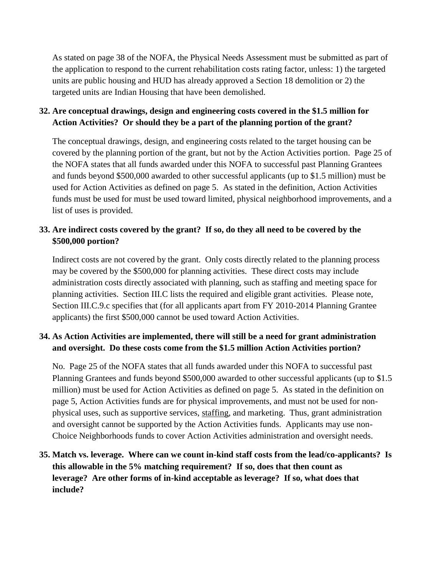As stated on page 38 of the NOFA, the Physical Needs Assessment must be submitted as part of the application to respond to the current rehabilitation costs rating factor, unless: 1) the targeted units are public housing and HUD has already approved a Section 18 demolition or 2) the targeted units are Indian Housing that have been demolished.

### **32. Are conceptual drawings, design and engineering costs covered in the \$1.5 million for Action Activities? Or should they be a part of the planning portion of the grant?**

The conceptual drawings, design, and engineering costs related to the target housing can be covered by the planning portion of the grant, but not by the Action Activities portion. Page 25 of the NOFA states that all funds awarded under this NOFA to successful past Planning Grantees and funds beyond \$500,000 awarded to other successful applicants (up to \$1.5 million) must be used for Action Activities as defined on page 5. As stated in the definition, Action Activities funds must be used for must be used toward limited, physical neighborhood improvements, and a list of uses is provided.

## **33. Are indirect costs covered by the grant? If so, do they all need to be covered by the \$500,000 portion?**

Indirect costs are not covered by the grant. Only costs directly related to the planning process may be covered by the \$500,000 for planning activities. These direct costs may include administration costs directly associated with planning, such as staffing and meeting space for planning activities. Section III.C lists the required and eligible grant activities. Please note, Section III.C.9.c specifies that (for all applicants apart from FY 2010-2014 Planning Grantee applicants) the first \$500,000 cannot be used toward Action Activities.

## **34. As Action Activities are implemented, there will still be a need for grant administration and oversight. Do these costs come from the \$1.5 million Action Activities portion?**

No. Page 25 of the NOFA states that all funds awarded under this NOFA to successful past Planning Grantees and funds beyond \$500,000 awarded to other successful applicants (up to \$1.5 million) must be used for Action Activities as defined on page 5. As stated in the definition on page 5, Action Activities funds are for physical improvements, and must not be used for nonphysical uses, such as supportive services, staffing, and marketing. Thus, grant administration and oversight cannot be supported by the Action Activities funds. Applicants may use non-Choice Neighborhoods funds to cover Action Activities administration and oversight needs.

# **35. Match vs. leverage. Where can we count in-kind staff costs from the lead/co-applicants? Is this allowable in the 5% matching requirement? If so, does that then count as leverage? Are other forms of in-kind acceptable as leverage? If so, what does that include?**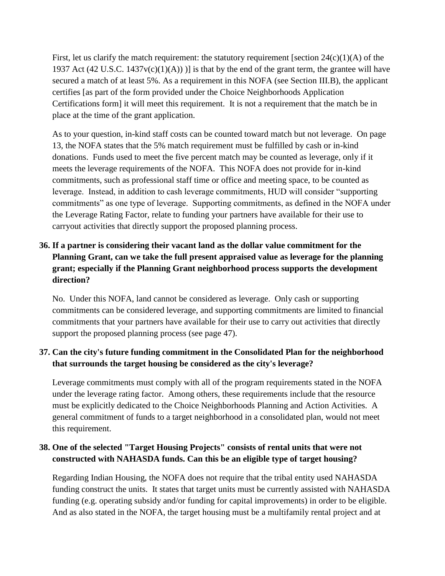First, let us clarify the match requirement: the statutory requirement [section  $24(c)(1)(A)$  of the 1937 Act (42 U.S.C. 1437 $v(c)(1)(A))$ ) is that by the end of the grant term, the grantee will have secured a match of at least 5%. As a requirement in this NOFA (see Section III.B), the applicant certifies [as part of the form provided under the Choice Neighborhoods Application Certifications form] it will meet this requirement. It is not a requirement that the match be in place at the time of the grant application.

As to your question, in-kind staff costs can be counted toward match but not leverage. On page 13, the NOFA states that the 5% match requirement must be fulfilled by cash or in-kind donations. Funds used to meet the five percent match may be counted as leverage, only if it meets the leverage requirements of the NOFA. This NOFA does not provide for in-kind commitments, such as professional staff time or office and meeting space, to be counted as leverage. Instead, in addition to cash leverage commitments, HUD will consider "supporting commitments" as one type of leverage. Supporting commitments, as defined in the NOFA under the Leverage Rating Factor, relate to funding your partners have available for their use to carryout activities that directly support the proposed planning process.

# **36. If a partner is considering their vacant land as the dollar value commitment for the Planning Grant, can we take the full present appraised value as leverage for the planning grant; especially if the Planning Grant neighborhood process supports the development direction?**

No. Under this NOFA, land cannot be considered as leverage. Only cash or supporting commitments can be considered leverage, and supporting commitments are limited to financial commitments that your partners have available for their use to carry out activities that directly support the proposed planning process (see page 47).

### **37. Can the city's future funding commitment in the Consolidated Plan for the neighborhood that surrounds the target housing be considered as the city's leverage?**

Leverage commitments must comply with all of the program requirements stated in the NOFA under the leverage rating factor. Among others, these requirements include that the resource must be explicitly dedicated to the Choice Neighborhoods Planning and Action Activities. A general commitment of funds to a target neighborhood in a consolidated plan, would not meet this requirement.

### **38. One of the selected "Target Housing Projects" consists of rental units that were not constructed with NAHASDA funds. Can this be an eligible type of target housing?**

Regarding Indian Housing, the NOFA does not require that the tribal entity used NAHASDA funding construct the units. It states that target units must be currently assisted with NAHASDA funding (e.g. operating subsidy and/or funding for capital improvements) in order to be eligible. And as also stated in the NOFA, the target housing must be a multifamily rental project and at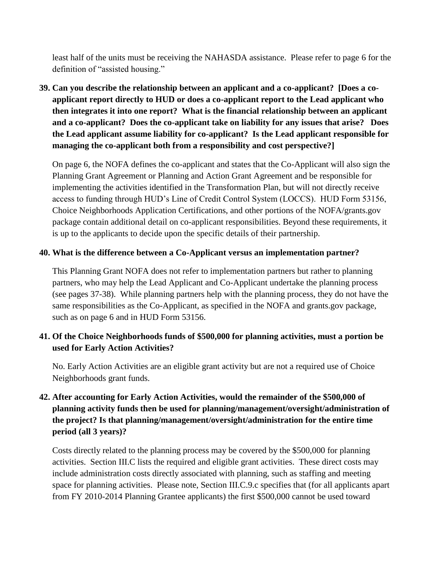least half of the units must be receiving the NAHASDA assistance. Please refer to page 6 for the definition of "assisted housing."

**39. Can you describe the relationship between an applicant and a co-applicant? [Does a coapplicant report directly to HUD or does a co-applicant report to the Lead applicant who then integrates it into one report? What is the financial relationship between an applicant and a co-applicant? Does the co-applicant take on liability for any issues that arise? Does the Lead applicant assume liability for co-applicant? Is the Lead applicant responsible for managing the co-applicant both from a responsibility and cost perspective?]**

On page 6, the NOFA defines the co-applicant and states that the Co-Applicant will also sign the Planning Grant Agreement or Planning and Action Grant Agreement and be responsible for implementing the activities identified in the Transformation Plan, but will not directly receive access to funding through HUD's Line of Credit Control System (LOCCS). HUD Form 53156, Choice Neighborhoods Application Certifications, and other portions of the NOFA/grants.gov package contain additional detail on co-applicant responsibilities. Beyond these requirements, it is up to the applicants to decide upon the specific details of their partnership.

#### **40. What is the difference between a Co-Applicant versus an implementation partner?**

This Planning Grant NOFA does not refer to implementation partners but rather to planning partners, who may help the Lead Applicant and Co-Applicant undertake the planning process (see pages 37-38). While planning partners help with the planning process, they do not have the same responsibilities as the Co-Applicant, as specified in the NOFA and grants.gov package, such as on page 6 and in HUD Form 53156.

#### **41. Of the Choice Neighborhoods funds of \$500,000 for planning activities, must a portion be used for Early Action Activities?**

No. Early Action Activities are an eligible grant activity but are not a required use of Choice Neighborhoods grant funds.

# **42. After accounting for Early Action Activities, would the remainder of the \$500,000 of planning activity funds then be used for planning/management/oversight/administration of the project? Is that planning/management/oversight/administration for the entire time period (all 3 years)?**

Costs directly related to the planning process may be covered by the \$500,000 for planning activities. Section III.C lists the required and eligible grant activities. These direct costs may include administration costs directly associated with planning, such as staffing and meeting space for planning activities. Please note, Section III.C.9.c specifies that (for all applicants apart from FY 2010-2014 Planning Grantee applicants) the first \$500,000 cannot be used toward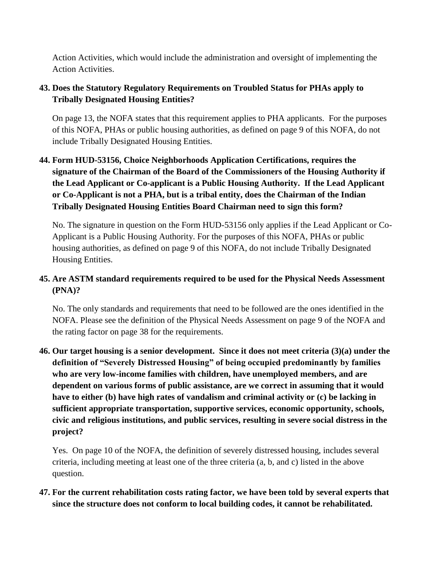Action Activities, which would include the administration and oversight of implementing the Action Activities.

### **43. Does the Statutory Regulatory Requirements on Troubled Status for PHAs apply to Tribally Designated Housing Entities?**

On page 13, the NOFA states that this requirement applies to PHA applicants. For the purposes of this NOFA, PHAs or public housing authorities, as defined on page 9 of this NOFA, do not include Tribally Designated Housing Entities.

**44. Form HUD-53156, Choice Neighborhoods Application Certifications, requires the signature of the Chairman of the Board of the Commissioners of the Housing Authority if the Lead Applicant or Co-applicant is a Public Housing Authority. If the Lead Applicant or Co-Applicant is not a PHA, but is a tribal entity, does the Chairman of the Indian Tribally Designated Housing Entities Board Chairman need to sign this form?**

No. The signature in question on the Form HUD-53156 only applies if the Lead Applicant or Co-Applicant is a Public Housing Authority. For the purposes of this NOFA, PHAs or public housing authorities, as defined on page 9 of this NOFA, do not include Tribally Designated Housing Entities.

## **45. Are ASTM standard requirements required to be used for the Physical Needs Assessment (PNA)?**

No. The only standards and requirements that need to be followed are the ones identified in the NOFA. Please see the definition of the Physical Needs Assessment on page 9 of the NOFA and the rating factor on page 38 for the requirements.

**46. Our target housing is a senior development. Since it does not meet criteria (3)(a) under the definition of "Severely Distressed Housing" of being occupied predominantly by families who are very low-income families with children, have unemployed members, and are dependent on various forms of public assistance, are we correct in assuming that it would have to either (b) have high rates of vandalism and criminal activity or (c) be lacking in sufficient appropriate transportation, supportive services, economic opportunity, schools, civic and religious institutions, and public services, resulting in severe social distress in the project?**

Yes. On page 10 of the NOFA, the definition of severely distressed housing, includes several criteria, including meeting at least one of the three criteria (a, b, and c) listed in the above question.

**47. For the current rehabilitation costs rating factor, we have been told by several experts that since the structure does not conform to local building codes, it cannot be rehabilitated.**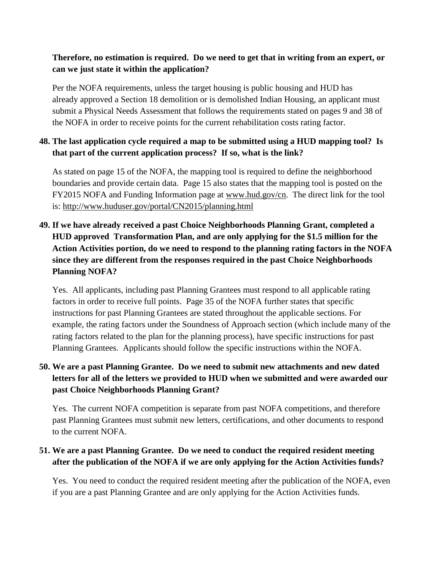#### **Therefore, no estimation is required. Do we need to get that in writing from an expert, or can we just state it within the application?**

Per the NOFA requirements, unless the target housing is public housing and HUD has already approved a Section 18 demolition or is demolished Indian Housing, an applicant must submit a Physical Needs Assessment that follows the requirements stated on pages 9 and 38 of the NOFA in order to receive points for the current rehabilitation costs rating factor.

#### **48. The last application cycle required a map to be submitted using a HUD mapping tool? Is that part of the current application process? If so, what is the link?**

As stated on page 15 of the NOFA, the mapping tool is required to define the neighborhood boundaries and provide certain data. Page 15 also states that the mapping tool is posted on the FY2015 NOFA and Funding Information page at [www.hud.gov/cn.](http://www.hud.gov/cn) The direct link for the tool is:<http://www.huduser.gov/portal/CN2015/planning.html>

# **49. If we have already received a past Choice Neighborhoods Planning Grant, completed a HUD approved Transformation Plan, and are only applying for the \$1.5 million for the Action Activities portion, do we need to respond to the planning rating factors in the NOFA since they are different from the responses required in the past Choice Neighborhoods Planning NOFA?**

Yes. All applicants, including past Planning Grantees must respond to all applicable rating factors in order to receive full points. Page 35 of the NOFA further states that specific instructions for past Planning Grantees are stated throughout the applicable sections. For example, the rating factors under the Soundness of Approach section (which include many of the rating factors related to the plan for the planning process), have specific instructions for past Planning Grantees. Applicants should follow the specific instructions within the NOFA.

## **50. We are a past Planning Grantee. Do we need to submit new attachments and new dated letters for all of the letters we provided to HUD when we submitted and were awarded our past Choice Neighborhoods Planning Grant?**

Yes. The current NOFA competition is separate from past NOFA competitions, and therefore past Planning Grantees must submit new letters, certifications, and other documents to respond to the current NOFA.

### **51. We are a past Planning Grantee. Do we need to conduct the required resident meeting after the publication of the NOFA if we are only applying for the Action Activities funds?**

Yes. You need to conduct the required resident meeting after the publication of the NOFA, even if you are a past Planning Grantee and are only applying for the Action Activities funds.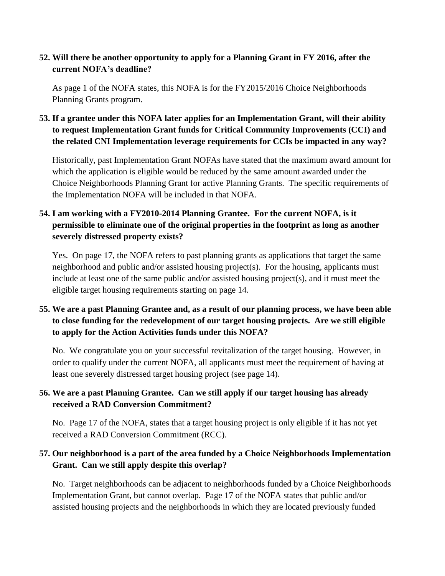#### **52. Will there be another opportunity to apply for a Planning Grant in FY 2016, after the current NOFA's deadline?**

As page 1 of the NOFA states, this NOFA is for the FY2015/2016 Choice Neighborhoods Planning Grants program.

**53. If a grantee under this NOFA later applies for an Implementation Grant, will their ability to request Implementation Grant funds for Critical Community Improvements (CCI) and the related CNI Implementation leverage requirements for CCIs be impacted in any way?**

Historically, past Implementation Grant NOFAs have stated that the maximum award amount for which the application is eligible would be reduced by the same amount awarded under the Choice Neighborhoods Planning Grant for active Planning Grants. The specific requirements of the Implementation NOFA will be included in that NOFA.

# **54. I am working with a FY2010-2014 Planning Grantee. For the current NOFA, is it permissible to eliminate one of the original properties in the footprint as long as another severely distressed property exists?**

Yes. On page 17, the NOFA refers to past planning grants as applications that target the same neighborhood and public and/or assisted housing project(s). For the housing, applicants must include at least one of the same public and/or assisted housing project(s), and it must meet the eligible target housing requirements starting on page 14.

## **55. We are a past Planning Grantee and, as a result of our planning process, we have been able to close funding for the redevelopment of our target housing projects. Are we still eligible to apply for the Action Activities funds under this NOFA?**

No. We congratulate you on your successful revitalization of the target housing. However, in order to qualify under the current NOFA, all applicants must meet the requirement of having at least one severely distressed target housing project (see page 14).

# **56. We are a past Planning Grantee. Can we still apply if our target housing has already received a RAD Conversion Commitment?**

No. Page 17 of the NOFA, states that a target housing project is only eligible if it has not yet received a RAD Conversion Commitment (RCC).

### **57. Our neighborhood is a part of the area funded by a Choice Neighborhoods Implementation Grant. Can we still apply despite this overlap?**

No. Target neighborhoods can be adjacent to neighborhoods funded by a Choice Neighborhoods Implementation Grant, but cannot overlap. Page 17 of the NOFA states that public and/or assisted housing projects and the neighborhoods in which they are located previously funded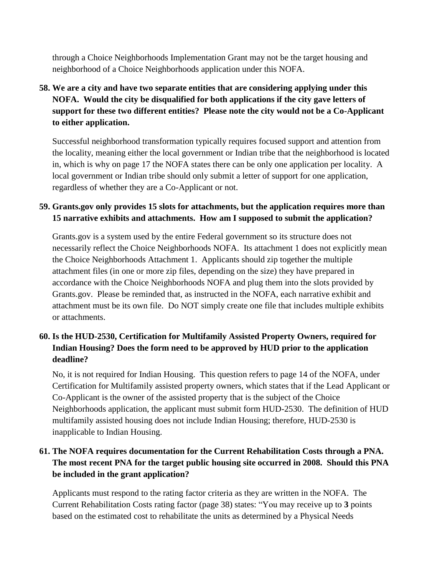through a Choice Neighborhoods Implementation Grant may not be the target housing and neighborhood of a Choice Neighborhoods application under this NOFA.

**58. We are a city and have two separate entities that are considering applying under this NOFA. Would the city be disqualified for both applications if the city gave letters of support for these two different entities? Please note the city would not be a Co-Applicant to either application.**

Successful neighborhood transformation typically requires focused support and attention from the locality, meaning either the local government or Indian tribe that the neighborhood is located in, which is why on page 17 the NOFA states there can be only one application per locality. A local government or Indian tribe should only submit a letter of support for one application, regardless of whether they are a Co-Applicant or not.

### **59. Grants.gov only provides 15 slots for attachments, but the application requires more than 15 narrative exhibits and attachments. How am I supposed to submit the application?**

Grants.gov is a system used by the entire Federal government so its structure does not necessarily reflect the Choice Neighborhoods NOFA. Its attachment 1 does not explicitly mean the Choice Neighborhoods Attachment 1. Applicants should zip together the multiple attachment files (in one or more zip files, depending on the size) they have prepared in accordance with the Choice Neighborhoods NOFA and plug them into the slots provided by Grants.gov. Please be reminded that, as instructed in the NOFA, each narrative exhibit and attachment must be its own file. Do NOT simply create one file that includes multiple exhibits or attachments.

## **60. Is the HUD-2530, Certification for Multifamily Assisted Property Owners, required for Indian Housing? Does the form need to be approved by HUD prior to the application deadline?**

No, it is not required for Indian Housing. This question refers to page 14 of the NOFA, under Certification for Multifamily assisted property owners, which states that if the Lead Applicant or Co-Applicant is the owner of the assisted property that is the subject of the Choice Neighborhoods application, the applicant must submit form HUD-2530. The definition of HUD multifamily assisted housing does not include Indian Housing; therefore, HUD-2530 is inapplicable to Indian Housing.

## **61. The NOFA requires documentation for the Current Rehabilitation Costs through a PNA. The most recent PNA for the target public housing site occurred in 2008. Should this PNA be included in the grant application?**

Applicants must respond to the rating factor criteria as they are written in the NOFA. The Current Rehabilitation Costs rating factor (page 38) states: "You may receive up to **3** points based on the estimated cost to rehabilitate the units as determined by a Physical Needs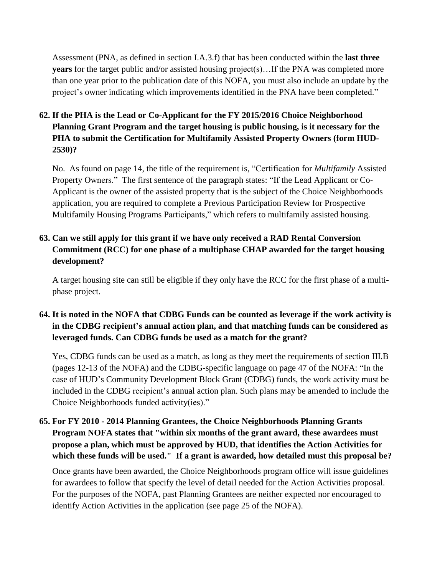Assessment (PNA, as defined in section I.A.3.f) that has been conducted within the **last three years** for the target public and/or assisted housing project(s)... If the PNA was completed more than one year prior to the publication date of this NOFA, you must also include an update by the project's owner indicating which improvements identified in the PNA have been completed."

## **62. If the PHA is the Lead or Co-Applicant for the FY 2015/2016 Choice Neighborhood Planning Grant Program and the target housing is public housing, is it necessary for the PHA to submit the Certification for Multifamily Assisted Property Owners (form HUD-2530)?**

No. As found on page 14, the title of the requirement is, "Certification for *Multifamily* Assisted Property Owners." The first sentence of the paragraph states: "If the Lead Applicant or Co-Applicant is the owner of the assisted property that is the subject of the Choice Neighborhoods application, you are required to complete a Previous Participation Review for Prospective Multifamily Housing Programs Participants," which refers to multifamily assisted housing.

## **63. Can we still apply for this grant if we have only received a RAD Rental Conversion Commitment (RCC) for one phase of a multiphase CHAP awarded for the target housing development?**

A target housing site can still be eligible if they only have the RCC for the first phase of a multiphase project.

## 64. It is noted in the NOFA that CDBG Funds can be counted as leverage if the work activity is **in the CDBG recipient's annual action plan, and that matching funds can be considered as leveraged funds. Can CDBG funds be used as a match for the grant?**

Yes, CDBG funds can be used as a match, as long as they meet the requirements of section III.B (pages 12-13 of the NOFA) and the CDBG-specific language on page 47 of the NOFA: "In the case of HUD's Community Development Block Grant (CDBG) funds, the work activity must be included in the CDBG recipient's annual action plan. Such plans may be amended to include the Choice Neighborhoods funded activity(ies)."

## **65. For FY 2010 - 2014 Planning Grantees, the Choice Neighborhoods Planning Grants Program NOFA states that "within six months of the grant award, these awardees must propose a plan, which must be approved by HUD, that identifies the Action Activities for which these funds will be used." If a grant is awarded, how detailed must this proposal be?**

Once grants have been awarded, the Choice Neighborhoods program office will issue guidelines for awardees to follow that specify the level of detail needed for the Action Activities proposal. For the purposes of the NOFA, past Planning Grantees are neither expected nor encouraged to identify Action Activities in the application (see page 25 of the NOFA).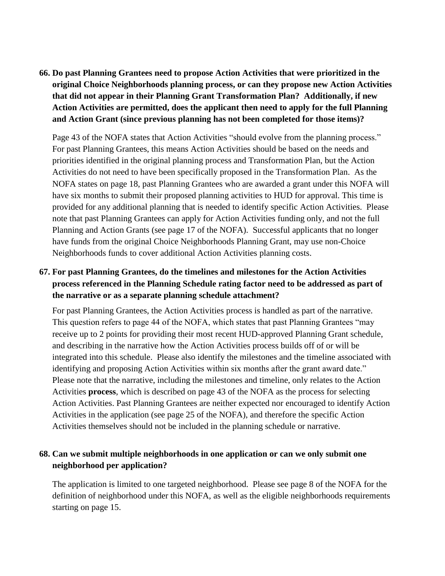**66. Do past Planning Grantees need to propose Action Activities that were prioritized in the original Choice Neighborhoods planning process, or can they propose new Action Activities that did not appear in their Planning Grant Transformation Plan? Additionally, if new Action Activities are permitted, does the applicant then need to apply for the full Planning and Action Grant (since previous planning has not been completed for those items)?**

Page 43 of the NOFA states that Action Activities "should evolve from the planning process." For past Planning Grantees, this means Action Activities should be based on the needs and priorities identified in the original planning process and Transformation Plan, but the Action Activities do not need to have been specifically proposed in the Transformation Plan. As the NOFA states on page 18, past Planning Grantees who are awarded a grant under this NOFA will have six months to submit their proposed planning activities to HUD for approval. This time is provided for any additional planning that is needed to identify specific Action Activities. Please note that past Planning Grantees can apply for Action Activities funding only, and not the full Planning and Action Grants (see page 17 of the NOFA). Successful applicants that no longer have funds from the original Choice Neighborhoods Planning Grant, may use non-Choice Neighborhoods funds to cover additional Action Activities planning costs.

### **67. For past Planning Grantees, do the timelines and milestones for the Action Activities process referenced in the Planning Schedule rating factor need to be addressed as part of the narrative or as a separate planning schedule attachment?**

For past Planning Grantees, the Action Activities process is handled as part of the narrative. This question refers to page 44 of the NOFA, which states that past Planning Grantees "may receive up to 2 points for providing their most recent HUD-approved Planning Grant schedule, and describing in the narrative how the Action Activities process builds off of or will be integrated into this schedule. Please also identify the milestones and the timeline associated with identifying and proposing Action Activities within six months after the grant award date." Please note that the narrative, including the milestones and timeline, only relates to the Action Activities **process**, which is described on page 43 of the NOFA as the process for selecting Action Activities. Past Planning Grantees are neither expected nor encouraged to identify Action Activities in the application (see page 25 of the NOFA), and therefore the specific Action Activities themselves should not be included in the planning schedule or narrative.

### **68. Can we submit multiple neighborhoods in one application or can we only submit one neighborhood per application?**

The application is limited to one targeted neighborhood. Please see page 8 of the NOFA for the definition of neighborhood under this NOFA, as well as the eligible neighborhoods requirements starting on page 15.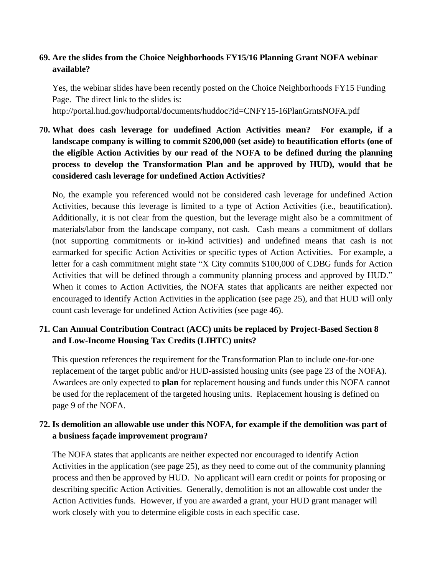#### **69. Are the slides from the Choice Neighborhoods FY15/16 Planning Grant NOFA webinar available?**

Yes, the webinar slides have been recently posted on the Choice Neighborhoods FY15 Funding Page. The direct link to the slides is:

<http://portal.hud.gov/hudportal/documents/huddoc?id=CNFY15-16PlanGrntsNOFA.pdf>

# **70. What does cash leverage for undefined Action Activities mean? For example, if a landscape company is willing to commit \$200,000 (set aside) to beautification efforts (one of the eligible Action Activities by our read of the NOFA to be defined during the planning process to develop the Transformation Plan and be approved by HUD), would that be considered cash leverage for undefined Action Activities?**

No, the example you referenced would not be considered cash leverage for undefined Action Activities, because this leverage is limited to a type of Action Activities (i.e., beautification). Additionally, it is not clear from the question, but the leverage might also be a commitment of materials/labor from the landscape company, not cash. Cash means a commitment of dollars (not supporting commitments or in-kind activities) and undefined means that cash is not earmarked for specific Action Activities or specific types of Action Activities. For example, a letter for a cash commitment might state "X City commits \$100,000 of CDBG funds for Action Activities that will be defined through a community planning process and approved by HUD." When it comes to Action Activities, the NOFA states that applicants are neither expected nor encouraged to identify Action Activities in the application (see page 25), and that HUD will only count cash leverage for undefined Action Activities (see page 46).

### **71. Can Annual Contribution Contract (ACC) units be replaced by Project-Based Section 8 and Low-Income Housing Tax Credits (LIHTC) units?**

This question references the requirement for the Transformation Plan to include one-for-one replacement of the target public and/or HUD-assisted housing units (see page 23 of the NOFA). Awardees are only expected to **plan** for replacement housing and funds under this NOFA cannot be used for the replacement of the targeted housing units. Replacement housing is defined on page 9 of the NOFA.

### **72. Is demolition an allowable use under this NOFA, for example if the demolition was part of a business façade improvement program?**

The NOFA states that applicants are neither expected nor encouraged to identify Action Activities in the application (see page 25), as they need to come out of the community planning process and then be approved by HUD. No applicant will earn credit or points for proposing or describing specific Action Activities. Generally, demolition is not an allowable cost under the Action Activities funds. However, if you are awarded a grant, your HUD grant manager will work closely with you to determine eligible costs in each specific case.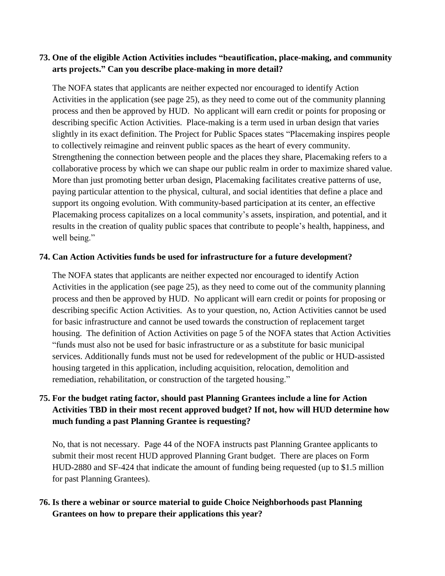#### **73. One of the eligible Action Activities includes "beautification, place-making, and community arts projects." Can you describe place-making in more detail?**

The NOFA states that applicants are neither expected nor encouraged to identify Action Activities in the application (see page 25), as they need to come out of the community planning process and then be approved by HUD. No applicant will earn credit or points for proposing or describing specific Action Activities. Place-making is a term used in urban design that varies slightly in its exact definition. The Project for Public Spaces states "Placemaking inspires people to collectively reimagine and reinvent public spaces as the heart of every community. Strengthening the connection between people and the places they share, Placemaking refers to a collaborative process by which we can shape our public realm in order to maximize shared value. More than just promoting better urban design, Placemaking facilitates creative patterns of use, paying particular attention to the physical, cultural, and social identities that define a place and support its ongoing evolution. With community-based participation at its center, an effective Placemaking process capitalizes on a local community's assets, inspiration, and potential, and it results in the creation of quality public spaces that contribute to people's health, happiness, and well being."

#### **74. Can Action Activities funds be used for infrastructure for a future development?**

The NOFA states that applicants are neither expected nor encouraged to identify Action Activities in the application (see page 25), as they need to come out of the community planning process and then be approved by HUD. No applicant will earn credit or points for proposing or describing specific Action Activities. As to your question, no, Action Activities cannot be used for basic infrastructure and cannot be used towards the construction of replacement target housing. The definition of Action Activities on page 5 of the NOFA states that Action Activities "funds must also not be used for basic infrastructure or as a substitute for basic municipal services. Additionally funds must not be used for redevelopment of the public or HUD-assisted housing targeted in this application, including acquisition, relocation, demolition and remediation, rehabilitation, or construction of the targeted housing."

## **75. For the budget rating factor, should past Planning Grantees include a line for Action Activities TBD in their most recent approved budget? If not, how will HUD determine how much funding a past Planning Grantee is requesting?**

No, that is not necessary. Page 44 of the NOFA instructs past Planning Grantee applicants to submit their most recent HUD approved Planning Grant budget. There are places on Form HUD-2880 and SF-424 that indicate the amount of funding being requested (up to \$1.5 million for past Planning Grantees).

### **76. Is there a webinar or source material to guide Choice Neighborhoods past Planning Grantees on how to prepare their applications this year?**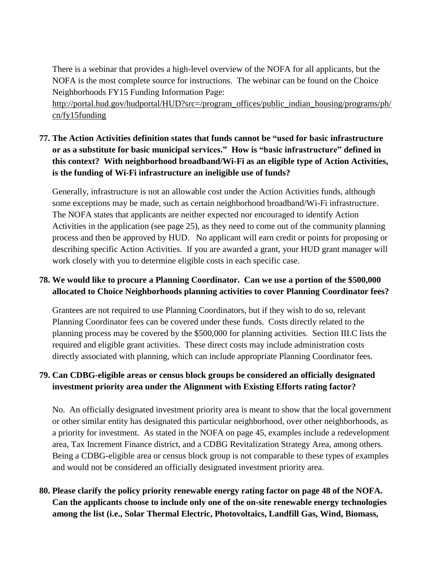There is a webinar that provides a high-level overview of the NOFA for all applicants, but the NOFA is the most complete source for instructions. The webinar can be found on the Choice Neighborhoods FY15 Funding Information Page:

[http://portal.hud.gov/hudportal/HUD?src=/program\\_offices/public\\_indian\\_housing/programs/ph/](http://portal.hud.gov/hudportal/HUD?src=/program_offices/public_indian_housing/programs/ph/cn/fy15funding) [cn/fy15funding](http://portal.hud.gov/hudportal/HUD?src=/program_offices/public_indian_housing/programs/ph/cn/fy15funding)

# **77. The Action Activities definition states that funds cannot be "used for basic infrastructure or as a substitute for basic municipal services." How is "basic infrastructure" defined in this context? With neighborhood broadband/Wi-Fi as an eligible type of Action Activities, is the funding of Wi-Fi infrastructure an ineligible use of funds?**

Generally, infrastructure is not an allowable cost under the Action Activities funds, although some exceptions may be made, such as certain neighborhood broadband/Wi-Fi infrastructure. The NOFA states that applicants are neither expected nor encouraged to identify Action Activities in the application (see page 25), as they need to come out of the community planning process and then be approved by HUD. No applicant will earn credit or points for proposing or describing specific Action Activities. If you are awarded a grant, your HUD grant manager will work closely with you to determine eligible costs in each specific case.

### **78. We would like to procure a Planning Coordinator. Can we use a portion of the \$500,000 allocated to Choice Neighborhoods planning activities to cover Planning Coordinator fees?**

Grantees are not required to use Planning Coordinators, but if they wish to do so, relevant Planning Coordinator fees can be covered under these funds. Costs directly related to the planning process may be covered by the \$500,000 for planning activities. Section III.C lists the required and eligible grant activities. These direct costs may include administration costs directly associated with planning, which can include appropriate Planning Coordinator fees.

## **79. Can CDBG-eligible areas or census block groups be considered an officially designated investment priority area under the Alignment with Existing Efforts rating factor?**

No. An officially designated investment priority area is meant to show that the local government or other similar entity has designated this particular neighborhood, over other neighborhoods, as a priority for investment. As stated in the NOFA on page 45, examples include a redevelopment area, Tax Increment Finance district, and a CDBG Revitalization Strategy Area, among others. Being a CDBG-eligible area or census block group is not comparable to these types of examples and would not be considered an officially designated investment priority area.

# **80. Please clarify the policy priority renewable energy rating factor on page 48 of the NOFA. Can the applicants choose to include only one of the on-site renewable energy technologies among the list (i.e., Solar Thermal Electric, Photovoltaics, Landfill Gas, Wind, Biomass,**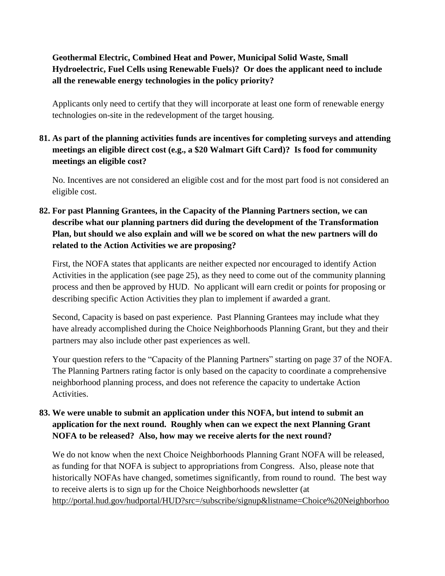## **Geothermal Electric, Combined Heat and Power, Municipal Solid Waste, Small Hydroelectric, Fuel Cells using Renewable Fuels)? Or does the applicant need to include all the renewable energy technologies in the policy priority?**

Applicants only need to certify that they will incorporate at least one form of renewable energy technologies on-site in the redevelopment of the target housing.

## **81. As part of the planning activities funds are incentives for completing surveys and attending meetings an eligible direct cost (e.g., a \$20 Walmart Gift Card)? Is food for community meetings an eligible cost?**

No. Incentives are not considered an eligible cost and for the most part food is not considered an eligible cost.

# **82. For past Planning Grantees, in the Capacity of the Planning Partners section, we can describe what our planning partners did during the development of the Transformation Plan, but should we also explain and will we be scored on what the new partners will do related to the Action Activities we are proposing?**

First, the NOFA states that applicants are neither expected nor encouraged to identify Action Activities in the application (see page 25), as they need to come out of the community planning process and then be approved by HUD. No applicant will earn credit or points for proposing or describing specific Action Activities they plan to implement if awarded a grant.

Second, Capacity is based on past experience. Past Planning Grantees may include what they have already accomplished during the Choice Neighborhoods Planning Grant, but they and their partners may also include other past experiences as well.

Your question refers to the "Capacity of the Planning Partners" starting on page 37 of the NOFA. The Planning Partners rating factor is only based on the capacity to coordinate a comprehensive neighborhood planning process, and does not reference the capacity to undertake Action Activities.

## **83. We were unable to submit an application under this NOFA, but intend to submit an application for the next round. Roughly when can we expect the next Planning Grant NOFA to be released? Also, how may we receive alerts for the next round?**

We do not know when the next Choice Neighborhoods Planning Grant NOFA will be released, as funding for that NOFA is subject to appropriations from Congress. Also, please note that historically NOFAs have changed, sometimes significantly, from round to round. The best way to receive alerts is to sign up for the Choice Neighborhoods newsletter (at [http://portal.hud.gov/hudportal/HUD?src=/subscribe/signup&listname=Choice%20Neighborhoo](http://portal.hud.gov/hudportal/HUD?src=/subscribe/signup&listname=Choice%2520Neighborhoods%2520e-Newsletter&list=CHOICENEIGHBORHOODSENEWSLETTER-L)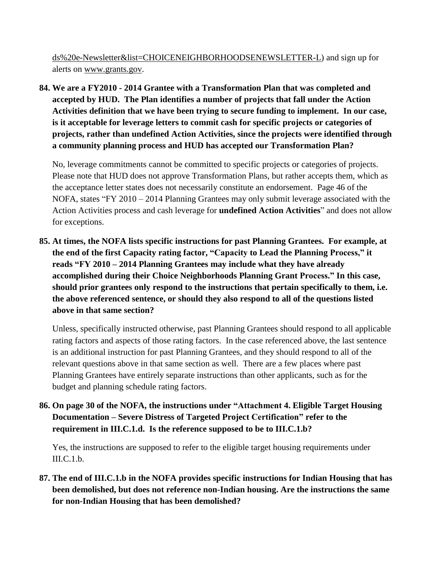[ds%20e-Newsletter&list=CHOICENEIGHBORHOODSENEWSLETTER-L\)](http://portal.hud.gov/hudportal/HUD?src=/subscribe/signup&listname=Choice%2520Neighborhoods%2520e-Newsletter&list=CHOICENEIGHBORHOODSENEWSLETTER-L) and sign up for alerts on [www.grants.gov.](http://www.grants.gov/)

**84. We are a FY2010 - 2014 Grantee with a Transformation Plan that was completed and accepted by HUD. The Plan identifies a number of projects that fall under the Action Activities definition that we have been trying to secure funding to implement. In our case, is it acceptable for leverage letters to commit cash for specific projects or categories of projects, rather than undefined Action Activities, since the projects were identified through a community planning process and HUD has accepted our Transformation Plan?**

No, leverage commitments cannot be committed to specific projects or categories of projects. Please note that HUD does not approve Transformation Plans, but rather accepts them, which as the acceptance letter states does not necessarily constitute an endorsement. Page 46 of the NOFA, states "FY 2010 – 2014 Planning Grantees may only submit leverage associated with the Action Activities process and cash leverage for **undefined Action Activities**" and does not allow for exceptions.

**85. At times, the NOFA lists specific instructions for past Planning Grantees. For example, at the end of the first Capacity rating factor, "Capacity to Lead the Planning Process," it reads "FY 2010 – 2014 Planning Grantees may include what they have already accomplished during their Choice Neighborhoods Planning Grant Process." In this case, should prior grantees only respond to the instructions that pertain specifically to them, i.e. the above referenced sentence, or should they also respond to all of the questions listed above in that same section?**

Unless, specifically instructed otherwise, past Planning Grantees should respond to all applicable rating factors and aspects of those rating factors. In the case referenced above, the last sentence is an additional instruction for past Planning Grantees, and they should respond to all of the relevant questions above in that same section as well. There are a few places where past Planning Grantees have entirely separate instructions than other applicants, such as for the budget and planning schedule rating factors.

**86. On page 30 of the NOFA, the instructions under "Attachment 4. Eligible Target Housing Documentation – Severe Distress of Targeted Project Certification" refer to the requirement in III.C.1.d. Is the reference supposed to be to III.C.1.b?**

Yes, the instructions are supposed to refer to the eligible target housing requirements under III.C.1.b.

**87. The end of III.C.1.b in the NOFA provides specific instructions for Indian Housing that has been demolished, but does not reference non-Indian housing. Are the instructions the same for non-Indian Housing that has been demolished?**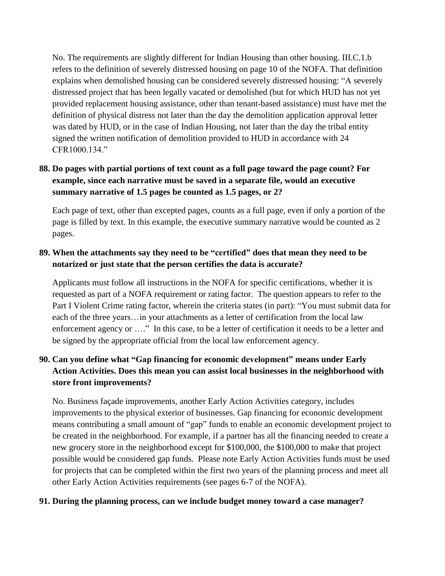No. The requirements are slightly different for Indian Housing than other housing. III.C.1.b refers to the definition of severely distressed housing on page 10 of the NOFA. That definition explains when demolished housing can be considered severely distressed housing: "A severely distressed project that has been legally vacated or demolished (but for which HUD has not yet provided replacement housing assistance, other than tenant-based assistance) must have met the definition of physical distress not later than the day the demolition application approval letter was dated by HUD, or in the case of Indian Housing, not later than the day the tribal entity signed the written notification of demolition provided to HUD in accordance with 24 CFR1000.134"

## **88. Do pages with partial portions of text count as a full page toward the page count? For example, since each narrative must be saved in a separate file, would an executive summary narrative of 1.5 pages be counted as 1.5 pages, or 2?**

Each page of text, other than excepted pages, counts as a full page, even if only a portion of the page is filled by text. In this example, the executive summary narrative would be counted as 2 pages.

### **89. When the attachments say they need to be "certified" does that mean they need to be notarized or just state that the person certifies the data is accurate?**

Applicants must follow all instructions in the NOFA for specific certifications, whether it is requested as part of a NOFA requirement or rating factor. The question appears to refer to the Part I Violent Crime rating factor, wherein the criteria states (in part): "You must submit data for each of the three years…in your attachments as a letter of certification from the local law enforcement agency or …." In this case, to be a letter of certification it needs to be a letter and be signed by the appropriate official from the local law enforcement agency.

# **90. Can you define what "Gap financing for economic development" means under Early Action Activities. Does this mean you can assist local businesses in the neighborhood with store front improvements?**

No. Business façade improvements, another Early Action Activities category, includes improvements to the physical exterior of businesses. Gap financing for economic development means contributing a small amount of "gap" funds to enable an economic development project to be created in the neighborhood. For example, if a partner has all the financing needed to create a new grocery store in the neighborhood except for \$100,000, the \$100,000 to make that project possible would be considered gap funds. Please note Early Action Activities funds must be used for projects that can be completed within the first two years of the planning process and meet all other Early Action Activities requirements (see pages 6-7 of the NOFA).

#### **91. During the planning process, can we include budget money toward a case manager?**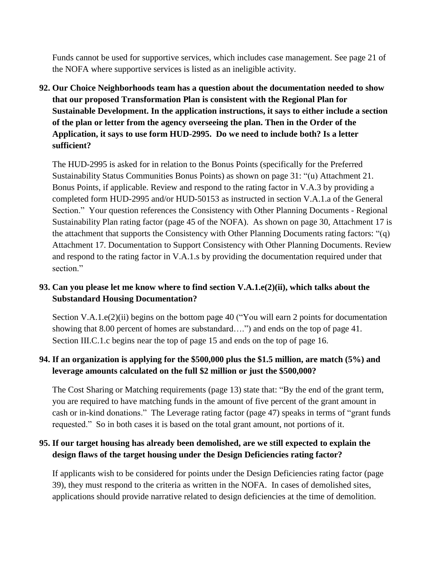Funds cannot be used for supportive services, which includes case management. See page 21 of the NOFA where supportive services is listed as an ineligible activity.

**92. Our Choice Neighborhoods team has a question about the documentation needed to show that our proposed Transformation Plan is consistent with the Regional Plan for Sustainable Development. In the application instructions, it says to either include a section of the plan or letter from the agency overseeing the plan. Then in the Order of the Application, it says to use form HUD-2995. Do we need to include both? Is a letter sufficient?** 

The HUD-2995 is asked for in relation to the Bonus Points (specifically for the Preferred Sustainability Status Communities Bonus Points) as shown on page 31: "(u) Attachment 21. Bonus Points, if applicable. Review and respond to the rating factor in V.A.3 by providing a completed form HUD-2995 and/or HUD-50153 as instructed in section V.A.1.a of the General Section." Your question references the Consistency with Other Planning Documents - Regional Sustainability Plan rating factor (page 45 of the NOFA). As shown on page 30, Attachment 17 is the attachment that supports the Consistency with Other Planning Documents rating factors: "(q) Attachment 17. Documentation to Support Consistency with Other Planning Documents. Review and respond to the rating factor in V.A.1.s by providing the documentation required under that section."

### **93. Can you please let me know where to find section V.A.1.e(2)(ii), which talks about the Substandard Housing Documentation?**

Section V.A.1.e(2)(ii) begins on the bottom page 40 ("You will earn 2 points for documentation showing that 8.00 percent of homes are substandard….") and ends on the top of page 41. Section III.C.1.c begins near the top of page 15 and ends on the top of page 16.

### **94. If an organization is applying for the \$500,000 plus the \$1.5 million, are match (5%) and leverage amounts calculated on the full \$2 million or just the \$500,000?**

The Cost Sharing or Matching requirements (page 13) state that: "By the end of the grant term, you are required to have matching funds in the amount of five percent of the grant amount in cash or in-kind donations." The Leverage rating factor (page 47) speaks in terms of "grant funds requested." So in both cases it is based on the total grant amount, not portions of it.

#### **95. If our target housing has already been demolished, are we still expected to explain the design flaws of the target housing under the Design Deficiencies rating factor?**

If applicants wish to be considered for points under the Design Deficiencies rating factor (page 39), they must respond to the criteria as written in the NOFA. In cases of demolished sites, applications should provide narrative related to design deficiencies at the time of demolition.